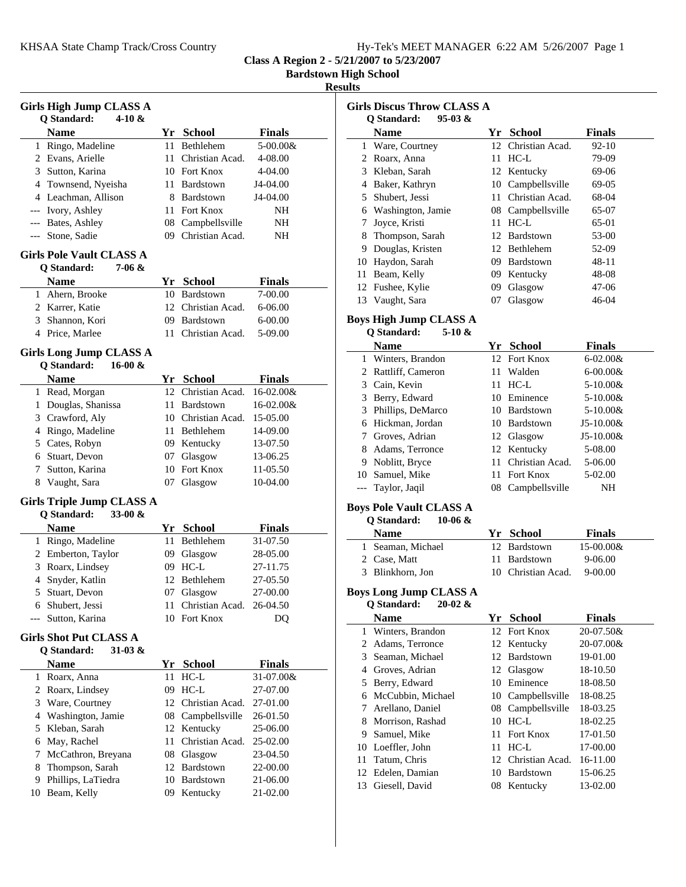**Class A Region 2 - 5/21/2007 to 5/23/2007**

**Bardstown High School**

#### **Results**

|         | <b>Girls High Jump CLASS A</b><br>Q Standard:<br>4-10 &       |      |                                 |                            |
|---------|---------------------------------------------------------------|------|---------------------------------|----------------------------|
|         | Name                                                          |      | Yr School                       | Finals                     |
|         | 1 Ringo, Madeline                                             | 11   | Bethlehem                       | 5-00.00&                   |
|         | 2 Evans, Arielle                                              | 11.  | Christian Acad.                 | 4-08.00                    |
|         | 3 Sutton, Karina                                              |      | 10 Fort Knox                    | 4-04.00                    |
|         | 4 Townsend, Nyeisha                                           |      | 11 Bardstown                    | J4-04.00                   |
|         | 4 Leachman, Allison                                           |      | 8 Bardstown                     | J4-04.00                   |
|         | --- Ivory, Ashley                                             |      | 11 Fort Knox                    | NΗ                         |
|         | --- Bates, Ashley                                             |      | 08 Campbellsville               | NH                         |
|         | --- Stone, Sadie                                              |      | 09 Christian Acad.              | NΗ                         |
|         | <b>Girls Pole Vault CLASS A</b><br>Q Standard:<br>7-06 &      |      |                                 |                            |
|         | <b>Name</b>                                                   |      | Yr School                       | Finals                     |
|         | 1 Ahern, Brooke                                               |      | 10 Bardstown                    | 7-00.00                    |
|         | 2 Karrer, Katie                                               |      | 12 Christian Acad.              | 6-06.00                    |
|         | 3 Shannon, Kori                                               |      | 09 Bardstown                    | 6-00.00                    |
|         | 4 Price, Marlee                                               | 11   | Christian Acad.                 | 5-09.00                    |
|         | Girls Long Jump CLASS A                                       |      |                                 |                            |
|         | Q Standard:<br>16-00 $&$                                      |      |                                 |                            |
|         | <b>Name</b>                                                   |      | Yr School<br>12 Christian Acad. | <b>Finals</b><br>16-02.00& |
|         | 1 Read, Morgan                                                |      |                                 | $16-02.00&$                |
|         | 1 Douglas, Shanissa                                           |      | 11 Bardstown                    |                            |
|         | 3 Crawford, Aly                                               |      | 10 Christian Acad.              | 15-05.00                   |
|         | 4 Ringo, Madeline                                             |      | 11 Bethlehem                    | 14-09.00                   |
|         | 5 Cates, Robyn                                                |      | 09 Kentucky                     | 13-07.50                   |
|         | 6 Stuart, Devon                                               |      | 07 Glasgow                      | 13-06.25                   |
|         | 7 Sutton, Karina                                              |      | 10 Fort Knox                    | 11-05.50                   |
|         | 8 Vaught, Sara                                                | 07   | Glasgow                         | 10-04.00                   |
|         | <b>Girls Triple Jump CLASS A</b><br>Q Standard:<br>33-00 $\&$ |      |                                 |                            |
|         | <b>Name</b>                                                   |      | Yr School                       | <b>Finals</b>              |
|         | 1 Ringo, Madeline                                             | 11   | Bethlehem                       | 31-07.50                   |
|         | 2 Emberton, Taylor                                            |      | 09 Glasgow                      | 28-05.00                   |
|         | 3 Roarx, Lindsey                                              |      |                                 |                            |
|         |                                                               |      | 09 HC-L                         | 27-11.75                   |
|         | 4 Snyder, Katlin                                              |      | 12 Bethlehem                    | 27-05.50                   |
|         | 5 Stuart, Devon                                               |      | 07 Glasgow                      | 27-00.00                   |
|         | 6 Shubert, Jessi                                              |      | 11 Christian Acad.              | 26-04.50                   |
| ---     | Sutton, Karina                                                |      | 10 Fort Knox                    | DQ                         |
|         |                                                               |      |                                 |                            |
|         | Girls Shot Put CLASS A                                        |      |                                 |                            |
|         | Q Standard:<br>$31-03 &$                                      |      |                                 |                            |
|         | <b>Name</b>                                                   |      | Yr School                       | Finals                     |
|         | 1 Roarx, Anna                                                 | 11   | $HC-L$                          | 31-07.00&                  |
|         | 2 Roarx, Lindsey                                              | 09   | $HC-L$                          | 27-07.00                   |
|         | 3 Ware, Courtney                                              | 12   | Christian Acad.                 | 27-01.00                   |
|         | 4 Washington, Jamie                                           |      | 08 Campbellsville               | 26-01.50                   |
|         | 5 Kleban, Sarah                                               |      | 12 Kentucky                     | 25-06.00                   |
|         | 6 May, Rachel                                                 | 11 - | Christian Acad.                 | 25-02.00                   |
| 7       | McCathron, Breyana                                            |      | 08 Glasgow                      | 23-04.50                   |
| 8.      | Thompson, Sarah                                               |      | 12 Bardstown                    | 22-00.00                   |
| 9<br>10 | Phillips, LaTiedra<br>Beam, Kelly                             |      | 10 Bardstown<br>09 Kentucky     | 21-06.00<br>21-02.00       |

| <b>Girls Discus Throw CLASS A</b> |                   |    |                  |               |  |
|-----------------------------------|-------------------|----|------------------|---------------|--|
| $95-03 &$<br>O Standard:          |                   |    |                  |               |  |
|                                   | <b>Name</b>       | Yr | <b>School</b>    | <b>Finals</b> |  |
| 1                                 | Ware, Courtney    | 12 | Christian Acad.  | $92 - 10$     |  |
|                                   | Roarx, Anna       | 11 | $HC-L$           | 79-09         |  |
| 3                                 | Kleban, Sarah     |    | 12 Kentucky      | 69-06         |  |
| 4                                 | Baker, Kathryn    | 10 | Campbellsville   | $69-05$       |  |
|                                   | 5 Shubert, Jessi  | 11 | Christian Acad.  | 68-04         |  |
| 6                                 | Washington, Jamie | 08 | Campbellsville   | 65-07         |  |
|                                   | Joyce, Kristi     | 11 | $HC-L$           | 65-01         |  |
| 8                                 | Thompson, Sarah   | 12 | Bardstown        | 53-00         |  |
| 9                                 | Douglas, Kristen  | 12 | Bethlehem        | 52-09         |  |
| 10                                | Haydon, Sarah     | 09 | <b>Bardstown</b> | $48 - 11$     |  |
| 11                                | Beam, Kelly       | 09 | Kentucky         | 48-08         |  |
| 12                                | Fushee, Kylie     | 09 | Glasgow          | 47-06         |  |
| 13                                | Vaught, Sara      | U/ | Glasgow          | 46-04         |  |
|                                   |                   |    |                  |               |  |

#### **Boys High Jump CLASS A**

|   | 5-10 $\&$<br>O Standard: |    |                 |               |
|---|--------------------------|----|-----------------|---------------|
|   | <b>Name</b>              | Yr | <b>School</b>   | <b>Finals</b> |
|   | 1 Winters, Brandon       |    | 12 Fort Knox    | $6-02.00 &$   |
|   | 2 Rattliff, Cameron      |    | 11 Walden       | $6 - 00.00 &$ |
|   | 3 Cain, Kevin            | 11 | HC-L            | $5 - 10.00 &$ |
|   | 3 Berry, Edward          | 10 | Eminence        | $5 - 10.00 &$ |
|   | 3 Phillips, DeMarco      |    | 10 Bardstown    | $5 - 10.00 &$ |
|   | 6 Hickman, Jordan        |    | 10 Bardstown    | $J5-10.00&$   |
|   | 7 Groves, Adrian         |    | 12 Glasgow      | $J5-10.00&$   |
| 8 | Adams, Terronce          |    | 12 Kentucky     | 5-08.00       |
| 9 | Noblitt, Bryce           | 11 | Christian Acad. | 5-06.00       |
|   | 10 Samuel, Mike          |    | 11 Fort Knox    | 5-02.00       |
|   | Taylor, Jaqil            | 08 | Campbellsville  | NΗ            |

# **Boys Pole Vault CLASS A**

# **Q Standard: 10-06 &**

| <b>Name</b>       | Yr School          | <b>Finals</b> |
|-------------------|--------------------|---------------|
| 1 Seaman, Michael | 12 Bardstown       | $15-00.00\&$  |
| 2 Case, Matt      | 11 Bardstown       | 9-06.00       |
| 3 Blinkhorn, Jon  | 10 Christian Acad. | 9-00.00       |

#### **Boys Long Jump CLASS A Q Standard: 20-02 &**

|    | <b>Name</b>        | Yr  | School            | <b>Finals</b> |
|----|--------------------|-----|-------------------|---------------|
|    | 1 Winters, Brandon |     | 12 Fort Knox      | 20-07.50&     |
|    | 2 Adams, Terronce  |     | 12 Kentucky       | 20-07.00&     |
|    | 3 Seaman, Michael  | 12  | Bardstown         | 19-01.00      |
| 4  | Groves, Adrian     |     | 12 Glasgow        | 18-10.50      |
|    | 5 Berry, Edward    | 10  | Eminence          | 18-08.50      |
| 6  | McCubbin, Michael  |     | 10 Campbellsville | 18-08.25      |
|    | Arellano, Daniel   |     | 08 Campbellsville | 18-03.25      |
| 8  | Morrison, Rashad   | 10  | HC-L              | 18-02.25      |
| 9. | Samuel, Mike       | 11. | <b>Fort Knox</b>  | 17-01.50      |
|    | 10 Loeffler, John  | 11  | HC-L              | 17-00.00      |
| 11 | Tatum, Chris       | 12. | Christian Acad.   | 16-11.00      |
|    | 12 Edelen, Damian  | 10  | <b>Bardstown</b>  | 15-06.25      |
|    | 13 Giesell, David  |     | 08 Kentucky       | 13-02.00      |